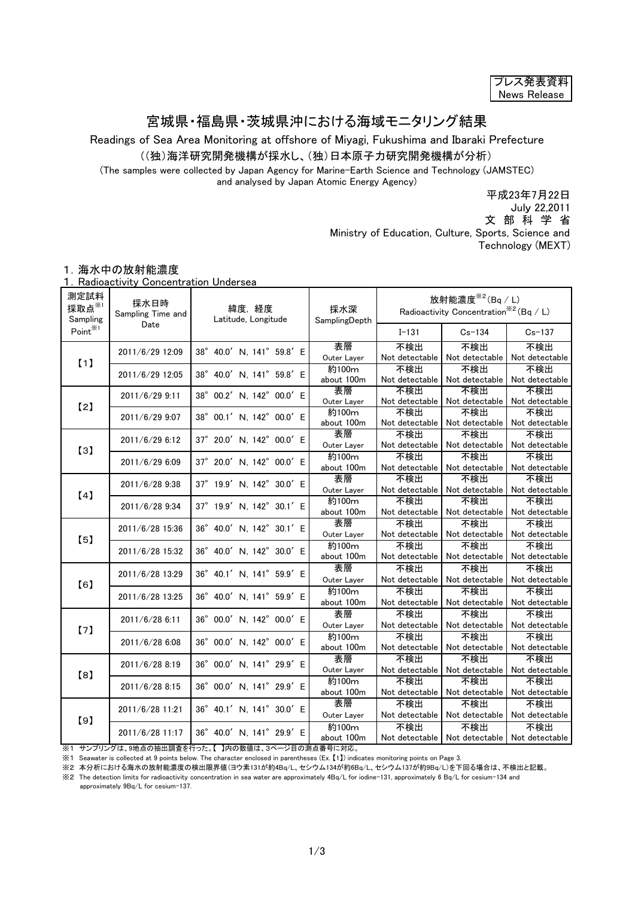| フレス発表資料      |
|--------------|
| News Release |

## 宮城県・福島県・茨城県沖における海域モニタリング結果

Readings of Sea Area Monitoring at offshore of Miyagi, Fukushima and Ibaraki Prefecture

((独)海洋研究開発機構が採水し、(独)日本原子力研究開発機構が分析)

(The samples were collected by Japan Agency for Marine-Earth Science and Technology (JAMSTEC) and analysed by Japan Atomic Energy Agency)

平成23年7月22日

July 22,2011

文 部 科 学 省

Ministry of Education, Culture, Sports, Science and

Technology (MEXT)

## 1.海水中の放射能濃度

1.Radioactivity Concentration Undersea

| 測定試料<br>採取点※1<br>Sampling | 採水日時<br>Sampling Time and | 緯度,経度<br>Latitude, Longitude | 採水深<br>SamplingDepth | 放射能濃度 $*$ <sup>2</sup> (Bq / L)<br>Radioactivity Concentration <sup>**2</sup> (Bq / L) |                                                         |                                      |
|---------------------------|---------------------------|------------------------------|----------------------|----------------------------------------------------------------------------------------|---------------------------------------------------------|--------------------------------------|
| Point <sup>※1</sup>       | Date                      |                              |                      | $I - 131$                                                                              | $Cs - 134$                                              | $Cs - 137$                           |
| (1)                       | 2011/6/29 12:09           | 38° 40.0' N, 141° 59.8' E    | 表層<br>Outer Layer    | 不検出<br>Not detectable                                                                  | 不検出<br>Not detectable                                   | 不検出<br>Not detectable                |
|                           | 2011/6/29 12:05           | 38° 40.0' N, 141° 59.8' E    | 約100m<br>about 100m  | 不検出<br>Not detectable                                                                  | 不検出<br>Not detectable                                   | 不検出<br>Not detectable                |
| [2]                       | 2011/6/29 9:11            | 38° 00.2' N, 142° 00.0' E    | 表層<br>Outer Layer    | 不検出<br>Not detectable                                                                  | 不検出                                                     | 不検出<br>Not detectable Not detectable |
|                           | 2011/6/29 9:07            | 38° 00.1' N, 142° 00.0' E    | 約100m<br>about 100m  | 不検出<br>Not detectable                                                                  | 不検出<br>Not detectable                                   | 不検出<br>Not detectable                |
| [3]                       | 2011/6/29 6:12            | 37° 20.0' N, 142° 00.0' E    | 表層<br>Outer Layer    | 不検出<br>Not detectable                                                                  | 不検出<br>Not detectable                                   | 不検出<br>Not detectable                |
|                           | 2011/6/29 6:09            | 37° 20.0' N, 142° 00.0' E    | 約100m<br>about 100m  | 不検出<br>Not detectable                                                                  | 不検出                                                     | 不検出<br>Not detectable Not detectable |
| [4]                       | 2011/6/28 9:38            | 37° 19.9' N, 142° 30.0' E    | 表層<br>Outer Layer    | 不検出<br>Not detectable                                                                  | 不検出<br>Not detectable                                   | 不検出<br>Not detectable                |
|                           | 2011/6/28 9:34            | 37° 19.9' N, 142° 30.1' E    | 約100m<br>about 100m  | 不検出<br>Not detectable                                                                  | 不検出<br>Not detectable                                   | 不検出<br>Not detectable                |
| [5]                       | 2011/6/28 15:36           | 36° 40.0' N, 142° 30.1' E    | 表層<br>Outer Layer    | 不検出<br>Not detectable                                                                  | 不検出<br>Not detectable                                   | 不検出<br>Not detectable                |
|                           | 2011/6/28 15:32           | 36° 40.0' N, 142° 30.0' E    | 約100m<br>about 100m  | 不検出<br>Not detectable                                                                  | 不検出<br>Not detectable                                   | 不検出<br>Not detectable                |
| [6]                       | 2011/6/28 13:29           | 36° 40.1' N, 141° 59.9' E    | 表層<br>Outer Layer    | 不検出<br>Not detectable                                                                  | 不検出<br>Not detectable                                   | 不検出<br>Not detectable                |
|                           | 2011/6/28 13:25           | 36° 40.0' N, 141° 59.9' E    | 約100m<br>about 100m  | 不検出<br>Not detectable                                                                  | 不検出<br>Not detectable                                   | 不検出<br>Not detectable                |
| [7]                       | 2011/6/28 6:11            | 36° 00.0' N, 142° 00.0' E    | 表層<br>Outer Layer    | 不検出<br>Not detectable                                                                  | 不検出<br>Not detectable                                   | 不検出<br>Not detectable                |
|                           | 2011/6/28 6:08            | 36° 00.0' N, 142° 00.0' E    | 約100m<br>about 100m  | 不検出<br>Not detectable                                                                  | 不検出<br>Not detectable                                   | 不検出<br>Not detectable                |
| $^{[8]}$                  | 2011/6/28 8:19            | 36° 00.0' N, 141° 29.9' E    | 表層<br>Outer Layer    | 不検出<br>Not detectable                                                                  | 不検出<br>Not detectable                                   | 不検出<br>Not detectable                |
|                           | 2011/6/28 8:15            | 36° 00.0' N, 141° 29.9' E    | 約100m<br>about 100m  | 不検出                                                                                    | 不検出<br>Not detectable Not detectable                    | 不検出<br>Not detectable                |
| [9]                       | 2011/6/28 11:21           | 36° 40.1' N, 141° 30.0' E    | 表層<br>Outer Layer    | 不検出<br>Not detectable                                                                  | 不検出<br>Not detectable                                   | 不検出<br>Not detectable                |
|                           | 2011/6/28 11:17           | 36° 40.0' N, 141° 29.9' E    | 約100m<br>about 100m  | 不検出                                                                                    | 不検出<br>Not detectable   Not detectable   Not detectable | 不検出                                  |

※1 サンプリングは、9地点の抽出調査を行った。【 】内の数値は、3ページ目の測点番号に対応。 ※1 Seawater is collected at 9 points below. The character enclosed in parentheses (Ex. 【1】) indicates monitoring points on Page 3.

※2 本分析における海水の放射能濃度の検出限界値(ヨウ素131が約4Bq/L、セシウム134が約6Bq/L、セシウム137が約9Bq/L)を下回る場合は、不検出と記載。

※2 The detection limits for radioactivity concentration in sea water are approximately 4Bq/L for iodine-131, approximately 6 Bq/L for cesium-134 and

approximately 9Bq/L for cesium-137.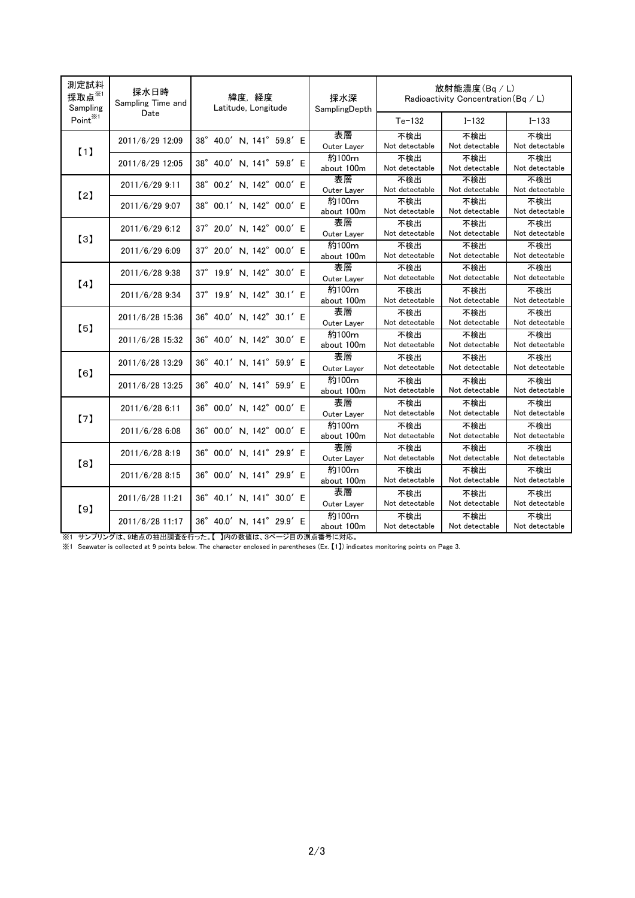| 測定試料<br>採取点 $*$<br>Sampling | 採水日時<br>Sampling Time and | 緯度,経度<br>Latitude, Longitude | 採水深<br>SamplingDepth | 放射能濃度(Bq/L)<br>Radioactivity Concentration (Bq / L) |                       |                       |
|-----------------------------|---------------------------|------------------------------|----------------------|-----------------------------------------------------|-----------------------|-----------------------|
| Point <sup>※1</sup>         | Date                      |                              |                      | $Te-132$                                            | $I - 132$             | $I - 133$             |
| (1)                         | 2011/6/29 12:09           | 38° 40.0' N, 141° 59.8' E    | 表層<br>Outer Layer    | 不検出<br>Not detectable                               | 不検出<br>Not detectable | 不検出<br>Not detectable |
|                             | 2011/6/29 12:05           | 38° 40.0' N, 141° 59.8' E    | 約100m<br>about 100m  | 不検出<br>Not detectable                               | 不検出<br>Not detectable | 不検出<br>Not detectable |
| [2]                         | 2011/6/29 9:11            | 38° 00.2' N, 142° 00.0' E    | 表層<br>Outer Layer    | 不検出<br>Not detectable                               | 不検出<br>Not detectable | 不検出<br>Not detectable |
|                             | 2011/6/29 9:07            | 38° 00.1' N, 142° 00.0' E    | 約100m<br>about 100m  | 不検出<br>Not detectable                               | 不検出<br>Not detectable | 不検出<br>Not detectable |
| [3]                         | 2011/6/29 6:12            | 37° 20.0' N, 142° 00.0' E    | 表層<br>Outer Layer    | 不検出<br>Not detectable                               | 不検出<br>Not detectable | 不検出<br>Not detectable |
|                             | 2011/6/29 6:09            | 37° 20.0' N, 142° 00.0' E    | 約100m<br>about 100m  | 不検出<br>Not detectable                               | 不検出<br>Not detectable | 不検出<br>Not detectable |
| [4]                         | 2011/6/28 9:38            | 37° 19.9' N, 142° 30.0' E    | 表層<br>Outer Layer    | 不検出<br>Not detectable                               | 不検出<br>Not detectable | 不検出<br>Not detectable |
|                             | 2011/6/28 9:34            | 37° 19.9' N, 142° 30.1' E    | 約100m<br>about 100m  | 不検出<br>Not detectable                               | 不検出<br>Not detectable | 不検出<br>Not detectable |
| [5]                         | 2011/6/28 15:36           | 36° 40.0' N, 142° 30.1' E    | 表層<br>Outer Layer    | 不検出<br>Not detectable                               | 不検出<br>Not detectable | 不検出<br>Not detectable |
|                             | 2011/6/28 15:32           | 36° 40.0' N, 142° 30.0' E    | 約100m<br>about 100m  | 不検出<br>Not detectable                               | 不検出<br>Not detectable | 不検出<br>Not detectable |
| [6]                         | 2011/6/28 13:29           | 36° 40.1' N, 141° 59.9' E    | 表層<br>Outer Layer    | 不検出<br>Not detectable                               | 不検出<br>Not detectable | 不検出<br>Not detectable |
|                             | 2011/6/28 13:25           | 36° 40.0' N, 141° 59.9' E    | 約100m<br>about 100m  | 不検出<br>Not detectable                               | 不検出<br>Not detectable | 不検出<br>Not detectable |
| [7]                         | 2011/6/28 6:11            | 36° 00.0' N, 142° 00.0' E    | 表層<br>Outer Layer    | 不検出<br>Not detectable                               | 不検出<br>Not detectable | 不検出<br>Not detectable |
|                             | 2011/6/28 6:08            | 36° 00.0' N, 142° 00.0' E    | 約100m<br>about 100m  | 不検出<br>Not detectable                               | 不検出<br>Not detectable | 不検出<br>Not detectable |
| [8]                         | 2011/6/28 8:19            | 36° 00.0' N, 141° 29.9' E    | 表層<br>Outer Layer    | 不検出<br>Not detectable                               | 不検出<br>Not detectable | 不検出<br>Not detectable |
|                             | 2011/6/28 8:15            | 36° 00.0' N, 141° 29.9' E    | 約100m<br>about 100m  | 不検出<br>Not detectable                               | 不検出<br>Not detectable | 不検出<br>Not detectable |
| [9]                         | 2011/6/28 11:21           | 36° 40.1' N, 141° 30.0' E    | 表層<br>Outer Layer    | 不検出<br>Not detectable                               | 不検出<br>Not detectable | 不検出<br>Not detectable |
|                             | 2011/6/28 11:17           | 36° 40.0' N, 141° 29.9' E    | 約100m<br>about 100m  | 不検出<br>Not detectable                               | 不検出<br>Not detectable | 不検出<br>Not detectable |

※1 サンプリングは、9地点の抽出調査を行った。【 】内の数値は、3ページ目の測点番号に対応。

※1 Seawater is collected at 9 points below. The character enclosed in parentheses (Ex. 【1】) indicates monitoring points on Page 3.